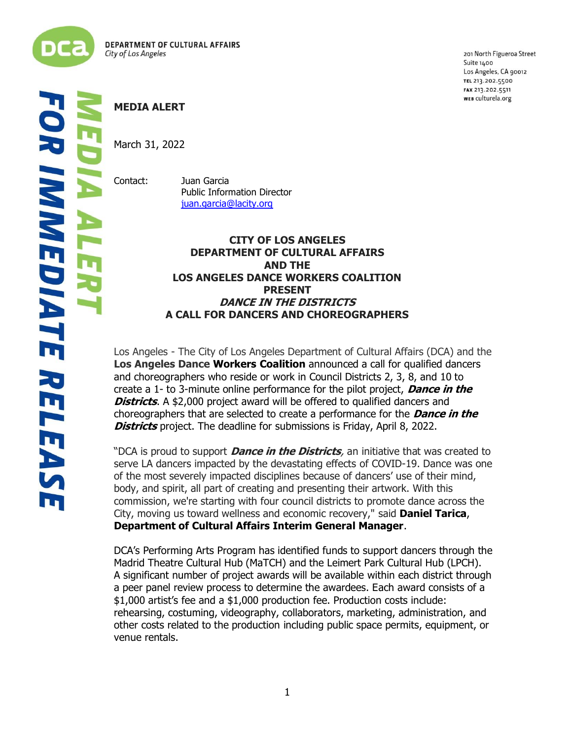

**LI** 

201 North Figueroa Street Suite 1400 Los Angeles, CA 90012 TEL 213.202.5500 FAX 213.202.5511 WEB culturela.org

# **IMMEDIATE RELEAS** į

# **MEDIA ALERT**

March 31, 2022

Contact: Juan Garcia Public Information Director [juan.garcia@lacity.org](mailto:juan.garcia@lacity.org)

## **CITY OF LOS ANGELES DEPARTMENT OF CULTURAL AFFAIRS AND THE LOS ANGELES DANCE WORKERS COALITION PRESENT DANCE IN THE DISTRICTS A CALL FOR DANCERS AND CHOREOGRAPHERS**

Los Angeles - The City of Los Angeles Department of Cultural Affairs (DCA) and the **Los Angeles Dance Workers Coalition** announced a call for qualified dancers and choreographers who reside or work in Council Districts 2, 3, 8, and 10 to create a 1- to 3-minute online performance for the pilot project, **Dance in the Districts**. A \$2,000 project award will be offered to qualified dancers and choreographers that are selected to create a performance for the **Dance in the Districts** project. The deadline for submissions is Friday, April 8, 2022.

"DCA is proud to support **Dance in the Districts**, an initiative that was created to serve LA dancers impacted by the devastating effects of COVID-19. Dance was one of the most severely impacted disciplines because of dancers' use of their mind, body, and spirit, all part of creating and presenting their artwork. With this commission, we're starting with four council districts to promote dance across the City, moving us toward wellness and economic recovery," said **Daniel Tarica**, **Department of Cultural Affairs Interim General Manager**.

DCA's Performing Arts Program has identified funds to support dancers through the Madrid Theatre Cultural Hub (MaTCH) and the Leimert Park Cultural Hub (LPCH). A significant number of project awards will be available within each district through a peer panel review process to determine the awardees. Each award consists of a \$1,000 artist's fee and a \$1,000 production fee. Production costs include: rehearsing, costuming, videography, collaborators, marketing, administration, and other costs related to the production including public space permits, equipment, or venue rentals.